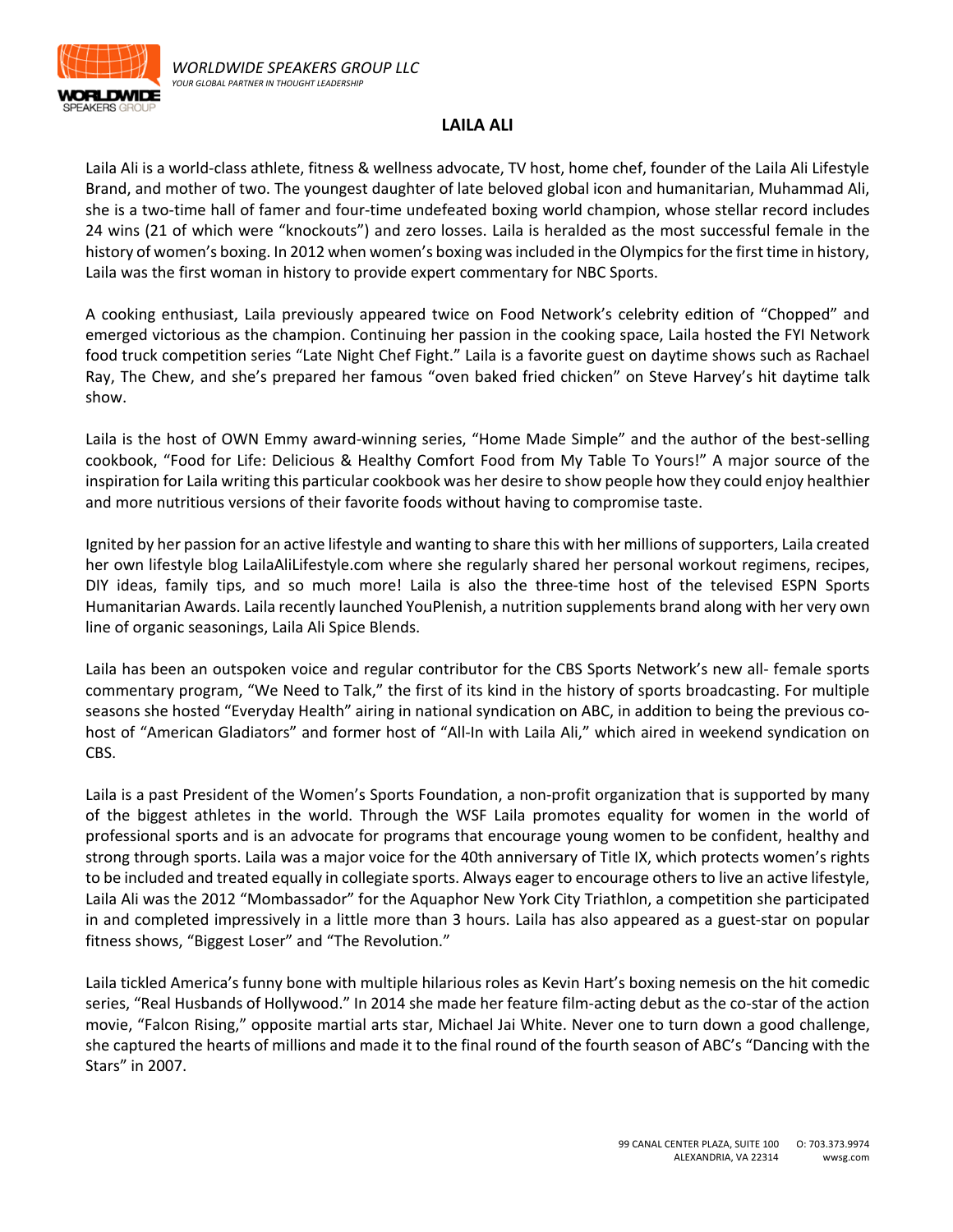

## **LAILA ALI**

Laila Ali is a world-class athlete, fitness & wellness advocate, TV host, home chef, founder of the Laila Ali Lifestyle Brand, and mother of two. The youngest daughter of late beloved global icon and humanitarian, Muhammad Ali, she is a two-time hall of famer and four-time undefeated boxing world champion, whose stellar record includes 24 wins (21 of which were "knockouts") and zero losses. Laila is heralded as the most successful female in the history of women's boxing. In 2012 when women's boxing was included in the Olympics for the first time in history, Laila was the first woman in history to provide expert commentary for NBC Sports.

A cooking enthusiast, Laila previously appeared twice on Food Network's celebrity edition of "Chopped" and emerged victorious as the champion. Continuing her passion in the cooking space, Laila hosted the FYI Network food truck competition series "Late Night Chef Fight." Laila is a favorite guest on daytime shows such as Rachael Ray, The Chew, and she's prepared her famous "oven baked fried chicken" on Steve Harvey's hit daytime talk show.

Laila is the host of OWN Emmy award-winning series, "Home Made Simple" and the author of the best-selling cookbook, "Food for Life: Delicious & Healthy Comfort Food from My Table To Yours!" A major source of the inspiration for Laila writing this particular cookbook was her desire to show people how they could enjoy healthier and more nutritious versions of their favorite foods without having to compromise taste.

Ignited by her passion for an active lifestyle and wanting to share this with her millions of supporters, Laila created her own lifestyle blog LailaAliLifestyle.com where she regularly shared her personal workout regimens, recipes, DIY ideas, family tips, and so much more! Laila is also the three-time host of the televised ESPN Sports Humanitarian Awards. Laila recently launched YouPlenish, a nutrition supplements brand along with her very own line of organic seasonings, Laila Ali Spice Blends.

Laila has been an outspoken voice and regular contributor for the CBS Sports Network's new all- female sports commentary program, "We Need to Talk," the first of its kind in the history of sports broadcasting. For multiple seasons she hosted "Everyday Health" airing in national syndication on ABC, in addition to being the previous cohost of "American Gladiators" and former host of "All-In with Laila Ali," which aired in weekend syndication on CBS.

Laila is a past President of the Women's Sports Foundation, a non-profit organization that is supported by many of the biggest athletes in the world. Through the WSF Laila promotes equality for women in the world of professional sports and is an advocate for programs that encourage young women to be confident, healthy and strong through sports. Laila was a major voice for the 40th anniversary of Title IX, which protects women's rights to be included and treated equally in collegiate sports. Always eager to encourage others to live an active lifestyle, Laila Ali was the 2012 "Mombassador" for the Aquaphor New York City Triathlon, a competition she participated in and completed impressively in a little more than 3 hours. Laila has also appeared as a guest-star on popular fitness shows, "Biggest Loser" and "The Revolution."

Laila tickled America's funny bone with multiple hilarious roles as Kevin Hart's boxing nemesis on the hit comedic series, "Real Husbands of Hollywood." In 2014 she made her feature film-acting debut as the co-star of the action movie, "Falcon Rising," opposite martial arts star, Michael Jai White. Never one to turn down a good challenge, she captured the hearts of millions and made it to the final round of the fourth season of ABC's "Dancing with the Stars" in 2007.